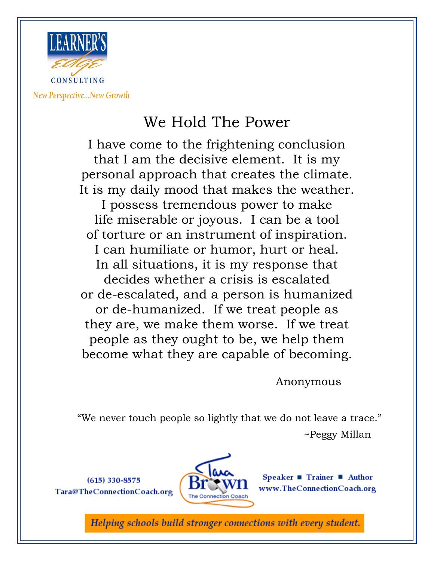

New Perspective...New Growth

## We Hold The Power

I have come to the frightening conclusion that I am the decisive element. It is my personal approach that creates the climate. It is my daily mood that makes the weather. I possess tremendous power to make life miserable or joyous. I can be a tool of torture or an instrument of inspiration. I can humiliate or humor, hurt or heal. In all situations, it is my response that decides whether a crisis is escalated or de-escalated, and a person is humanized or de-humanized. If we treat people as they are, we make them worse. If we treat people as they ought to be, we help them become what they are capable of becoming.

Anonymous

"We never touch people so lightly that we do not leave a trace." ~Peggy Millan

 $(615)$  330-8575 Tara@TheConnectionCoach.org



Speaker ■ Trainer ■ Author  $www. The Connecticut Coand, org.$ 

Helping schools build stronger connections with every student.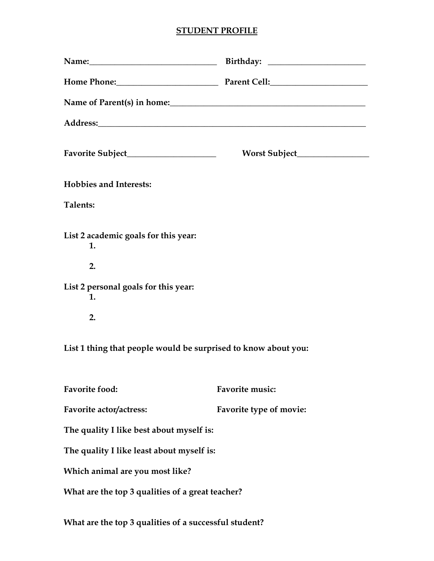## **STUDENT PROFILE**

|                                                                                                      | Name: Name: Name: Name: Name: Name: Name: Name: Name: Name: Name: Name: Name: Name: Name: Name: Name: Name: Name: Name: Name: Name: Name: Name: Name: Name: Name: Name: Name: Name: Name: Name: Name: Name: Name: Name: Name: |
|------------------------------------------------------------------------------------------------------|-------------------------------------------------------------------------------------------------------------------------------------------------------------------------------------------------------------------------------|
|                                                                                                      |                                                                                                                                                                                                                               |
|                                                                                                      |                                                                                                                                                                                                                               |
|                                                                                                      |                                                                                                                                                                                                                               |
|                                                                                                      |                                                                                                                                                                                                                               |
| <b>Hobbies and Interests:</b>                                                                        |                                                                                                                                                                                                                               |
| Talents:                                                                                             |                                                                                                                                                                                                                               |
| List 2 academic goals for this year:<br>1.<br>2.<br>List 2 personal goals for this year:<br>1.<br>2. |                                                                                                                                                                                                                               |
| List 1 thing that people would be surprised to know about you:                                       |                                                                                                                                                                                                                               |
| <b>Favorite food:</b>                                                                                | Favorite music:                                                                                                                                                                                                               |
| Favorite actor/actress:                                                                              | Favorite type of movie:                                                                                                                                                                                                       |
| The quality I like best about myself is:                                                             |                                                                                                                                                                                                                               |
| The quality I like least about myself is:                                                            |                                                                                                                                                                                                                               |
| Which animal are you most like?                                                                      |                                                                                                                                                                                                                               |
| What are the top 3 qualities of a great teacher?                                                     |                                                                                                                                                                                                                               |
|                                                                                                      |                                                                                                                                                                                                                               |

**What are the top 3 qualities of a successful student?**